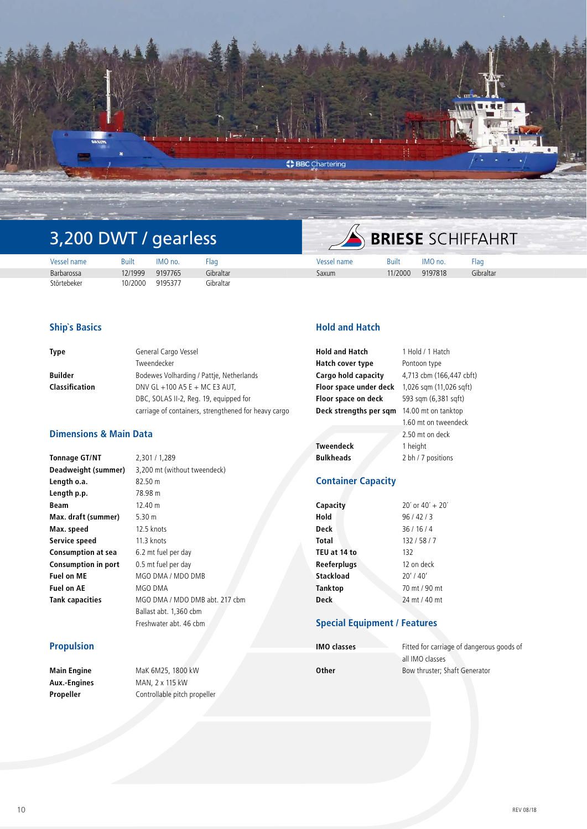

# 3,200 DWT / gearless

|             |         |         |           |             |              | and the party of the company and the |           |
|-------------|---------|---------|-----------|-------------|--------------|--------------------------------------|-----------|
| Vessel name | Built   | IMO no. | -lac      | Vessel name | <b>Built</b> | IMO no.                              | Flag      |
| Barbarossa  | 12/1999 | 9197765 | Gibraltar | Saxum       | 11/2000      | 9197818                              | Gibraltar |
| Störtebeker | 10/2000 | 9195377 | Gibraltar |             |              |                                      |           |

# **Ship`s Basics**

| Type           | General Cargo Vessel                                 |  |  |
|----------------|------------------------------------------------------|--|--|
|                | Tweendecker                                          |  |  |
| Builder        | Bodewes Volharding / Pattie, Netherlands             |  |  |
| Classification | DNV GL +100 A5 E + MC E3 AUT,                        |  |  |
|                | DBC, SOLAS II-2, Reg. 19, equipped for               |  |  |
|                | carriage of containers, strengthened for heavy cargo |  |  |

# **Dimensions & Main Data**

**Tonnage GT/NT** 2,301 / 1,289 **Length o.a.** 82.50 m **Length p.p.** 78.98 m **Beam** 12.40 m **Max. draft (summer)** 5.30 m **Max. speed** 12.5 knots **Service speed** 11.3 knots **Consumption at sea** 6.2 mt fuel per day **Consumption in port** 0.5 mt fuel per day **Fuel on ME** MGO DMA / MDO DMB **Fuel on AE** MGO DMA

**Deadweight (summer)** 3,200 mt (without tweendeck) **Tank capacities** MGO DMA / MDO DMB abt. 217 cbm Ballast abt. 1,360 cbm Freshwater abt. 46 cbm

## **Propulsion**

**Main Engine** MaK 6M25, 1800 kW **Aux.-Engines** MAN, 2 x 115 kW **Propeller** Controllable pitch propeller

# **Hold and Hatch**

| <b>Hold and Hatch</b>  | 1 Hold / 1 Hatch         |
|------------------------|--------------------------|
| Hatch cover type       | Pontoon type             |
| Cargo hold capacity    | 4,713 cbm (166,447 cbft) |
| Floor space under deck | 1,026 sqm (11,026 sqft)  |
| Floor space on deck    | 593 sqm (6,381 sqft)     |
| Deck strengths per sqm | 14.00 mt on tanktop      |
|                        | 1.60 mt on tweendeck     |
|                        | 2.50 mt on deck          |
| <b>Tweendeck</b>       | 1 height                 |
| <b>Bulkheads</b>       | 2 bh / 7 positions       |
|                        |                          |

**BRIESE SCHIFFAHRT** 

# **Container Capacity**

| Capacity     | $20'$ or $40' + 20'$ |  |  |
|--------------|----------------------|--|--|
| Hold         | 96/42/3              |  |  |
| Deck         | 36/16/4              |  |  |
| Total        | 132/58/7             |  |  |
| TEU at 14 to | 132                  |  |  |
| Reeferplugs  | 12 on deck           |  |  |
| Stackload    | $20'$ / 40'          |  |  |
| Tanktop      | 70 mt / 90 mt        |  |  |
| <b>Deck</b>  | 24 mt / 40 mt        |  |  |

# **Special Equipment / Features**

| <b>IMO classes</b> | Fitted for carriage of dangerous goods of |
|--------------------|-------------------------------------------|
|                    | all IMO classes                           |
| Other              | Bow thruster: Shaft Generator             |